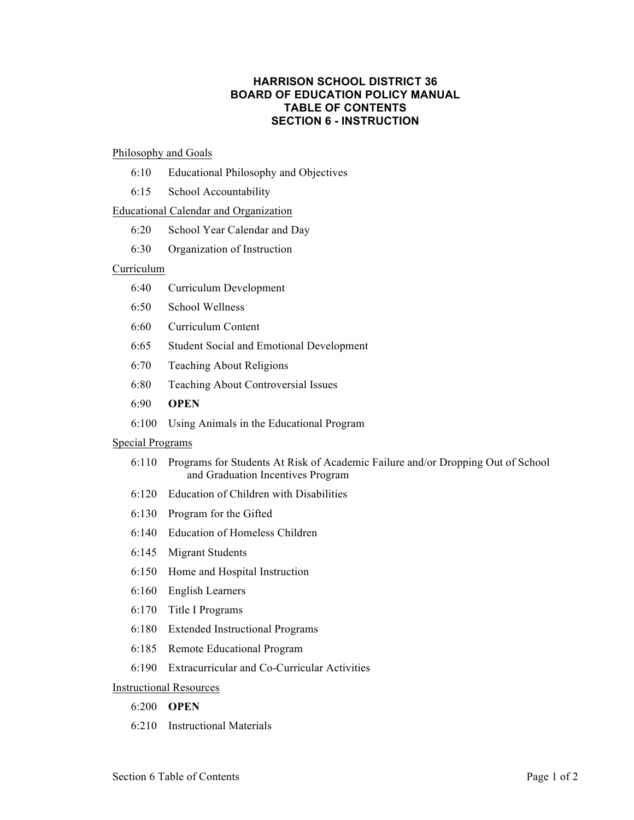# **HARRISON SCHOOL DISTRICT 36 BOARD OF EDUCATION POLICY MANUAL TABLE OF CONTENTS SECTION 6 - INSTRUCTION**

### Philosophy and Goals

- 6:10 Educational Philosophy and Objectives
- 6:15 School Accountability

## Educational Calendar and Organization

- 6:20 School Year Calendar and Day
- 6:30 Organization of Instruction

### Curriculum

- 6:40 Curriculum Development
- 6:50 School Wellness
- 6:60 Curriculum Content
- 6:65 Student Social and Emotional Development
- 6:70 Teaching About Religions
- 6:80 Teaching About Controversial Issues
- 6:90 **OPEN**
- 6:100 Using Animals in the Educational Program

#### Special Programs

- 6:110 Programs for Students At Risk of Academic Failure and/or Dropping Out of School and Graduation Incentives Program
- 6:120 Education of Children with Disabilities
- 6:130 Program for the Gifted
- 6:140 Education of Homeless Children
- 6:145 Migrant Students
- 6:150 Home and Hospital Instruction
- 6:160 English Learners
- 6:170 Title I Programs
- 6:180 Extended Instructional Programs
- 6:185 Remote Educational Program
- 6:190 Extracurricular and Co-Curricular Activities

## Instructional Resources

- 6:200 **OPEN**
- 6:210 Instructional Materials